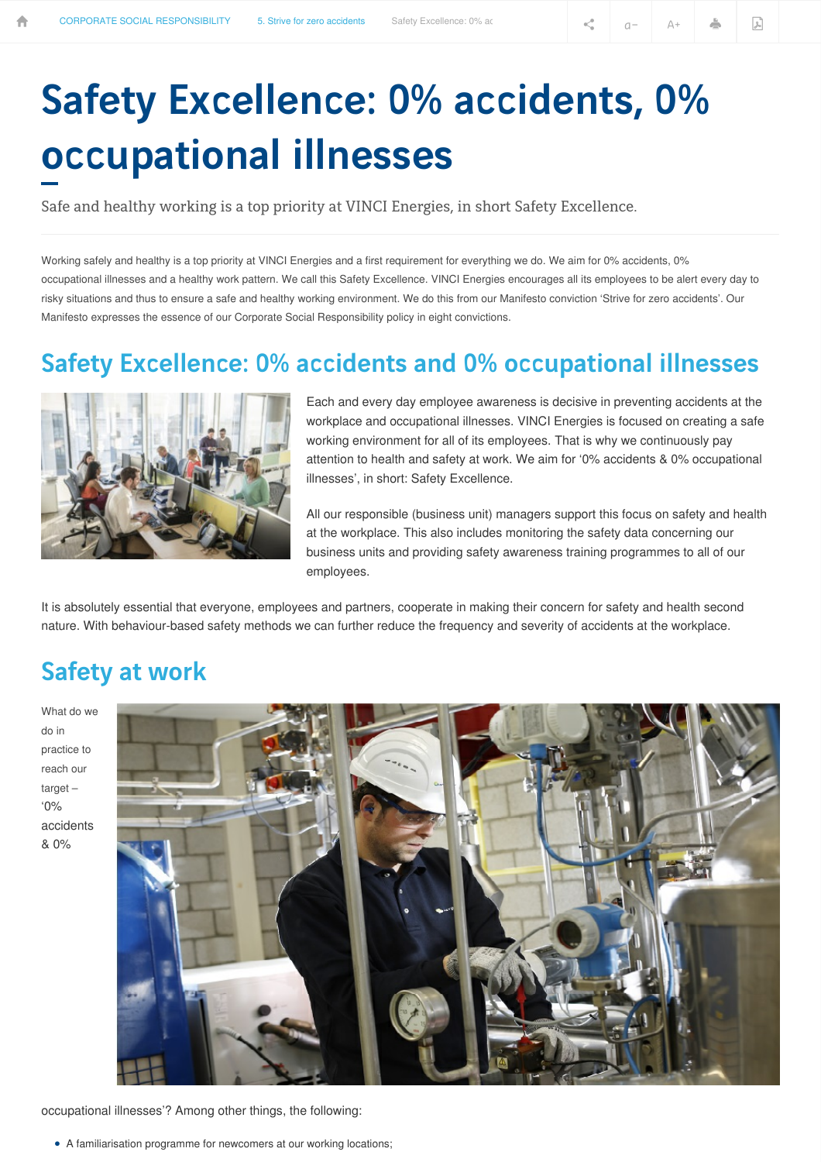# Safety Excellence: 0% accidents, 0% occupational illnesses

Safe and healthy working is a top priority at VINCI Energies, in short Safety Excellence.

Working safely and healthy is a top priority at VINCI Energies and a first requirement for everything we do. We aim for 0% accidents, 0% occupational illnesses and a healthy work pattern. We call this Safety Excellence. VINCI Energies encourages all its employees to be alert every day to risky situations and thus to ensure a safe and healthy working environment. We do this from our Manifesto conviction 'Strive for zero accidents'. Our Manifesto expresses the essence of our Corporate Social Responsibility policy in eight convictions.

## Safety Excellence: 0% accidents and 0% occupational illnesses



Each and every day employee awareness is decisive in preventing accidents at the workplace and occupational illnesses. VINCI Energies is focused on creating a safe working environment for all of its employees. That is why we continuously pay attention to health and safety at work. We aim for '0% accidents & 0% occupational illnesses', in short: Safety Excellence.

All our responsible (business unit) managers support this focus on safety and health at the workplace. This also includes monitoring the safety data concerning our business units and providing safety awareness training programmes to all of our employees.

It is absolutely essential that everyone, employees and partners, cooperate in making their concern for safety and health second nature. With behaviour-based safety methods we can further reduce the frequency and severity of accidents at the workplace.

## Safety at work

What do we do in practice to reach our target – '0% accidents & 0%



occupational illnesses'? Among other things, the following:

• A familiarisation programme for newcomers at our working locations;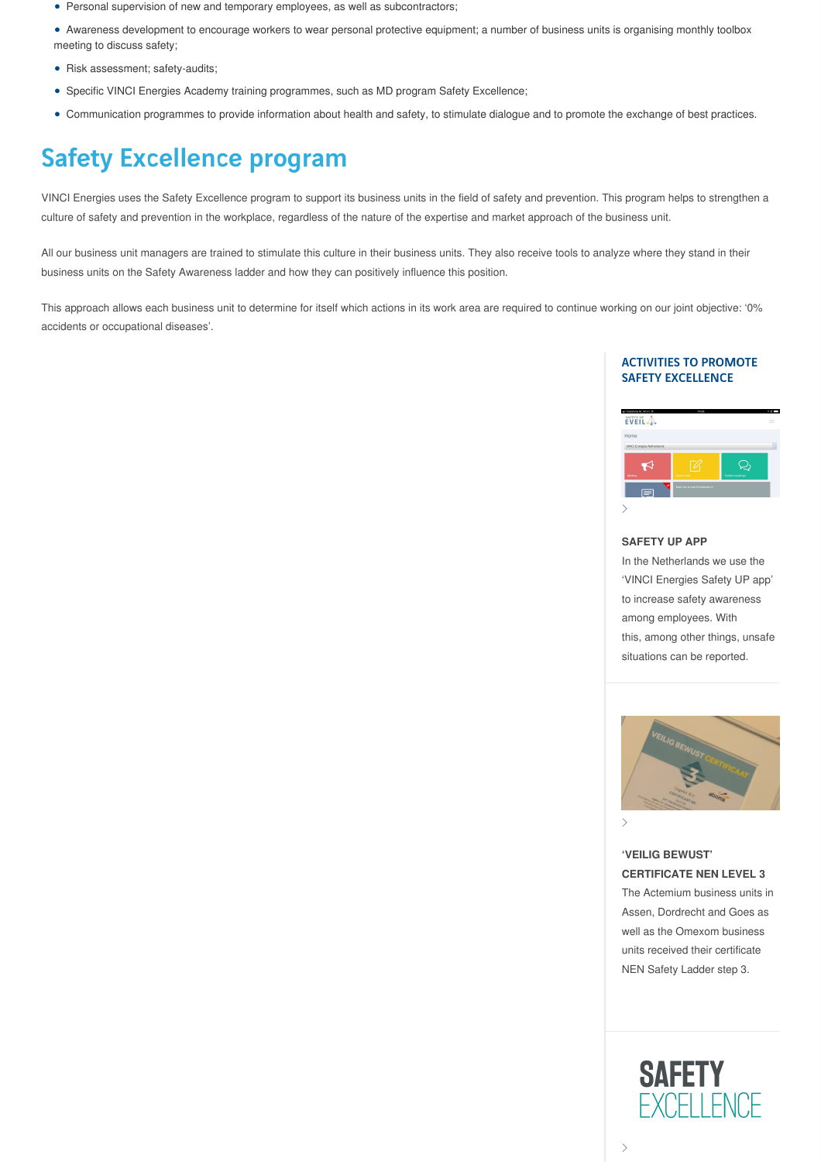- Personal supervision of new and temporary employees, as well as subcontractors;
- Awareness development to encourage workers to wear personal protective equipment; a number of business units is organising monthly toolbox meeting to discuss safety;
- Risk assessment; safety-audits;
- Specific VINCI Energies Academy training programmes, such as MD program Safety Excellence;
- Communication programmes to provide information about health and safety, to stimulate dialogue and to promote the exchange of best practices.

# Safety Excellence program

VINCI Energies uses the Safety Excellence program to support its business units in the field of safety and prevention. This program helps to strengthen a culture of safety and prevention in the workplace, regardless of the nature of the expertise and market approach of the business unit.

All our business unit managers are trained to stimulate this culture in their business units. They also receive tools to analyze where they stand in their business units on the Safety Awareness ladder and how they can positively influence this position.

This approach allows each business unit to determine for itself which actions in its work area are required to continue working on our joint objective: '0% accidents or occupational diseases'.

### ACTIVITIES TO PROMOTE SAFETY EXCELLENCE



#### **SAFETY UP APP**

In the Netherlands we use the 'VINCI Energies Safety UP app' to increase safety awareness among employees. With this, among other things, unsafe situations can be reported.



 $\left\langle \right\rangle$ 

### **'VEILIG BEWUST' CERTIFICATE NEN LEVEL 3**

The Actemium business units in Assen, Dordrecht and Goes as well as the Omexom business units received their certificate NEN Safety Ladder step 3.